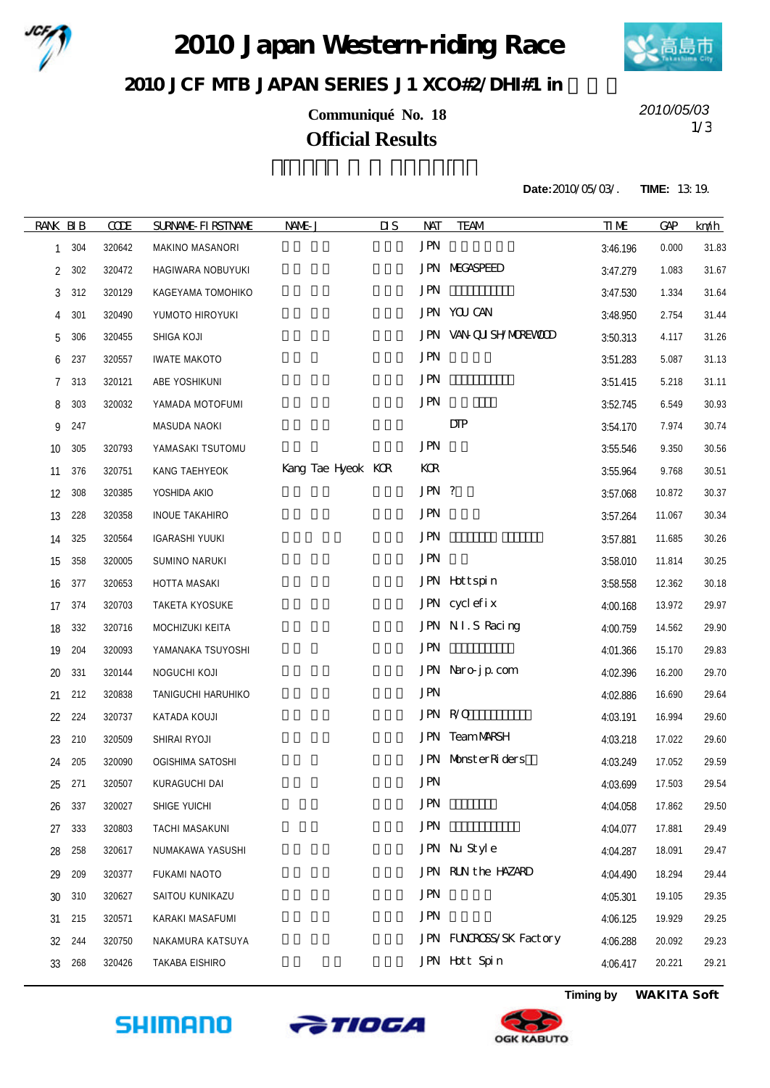

2010 Japan Western riding Race



2010 JCF MIB JAPAN SERIES J1 XCO#2/DH#1 in

**Communiqué No. 18** 1/3 **Official Results**

*2010/05/03*

**Date:**2010/05/03/. **TIME:** 13:19.

| <b>RANK BIB</b> |     | <b>CODE</b> | <b>SURVANE FIRSTIVANE</b> | NAME J             | $\overline{\mathbf{u}}$ | NAT        | <b>TEAM</b>            | <b>TIME</b> | <b>GAP</b> | km/h  |
|-----------------|-----|-------------|---------------------------|--------------------|-------------------------|------------|------------------------|-------------|------------|-------|
| 1               | 304 | 320642      | MAKINO MASANORI           |                    |                         | <b>JPN</b> |                        | 3:46.196    | 0.000      | 31.83 |
| 2               | 302 | 320472      | HAGIWARA NOBUYUKI         |                    |                         |            | <b>JPN MEGASPEED</b>   | 3:47.279    | 1.083      | 31.67 |
| 3               | 312 | 320129      | KAGEYAMA TOMOHIKO         |                    |                         | <b>JPN</b> |                        | 3:47.530    | 1.334      | 31.64 |
| 4               | 301 | 320490      | YUMOTO HIROYUKI           |                    |                         |            | JPN YOU CAN            | 3:48.950    | 2.754      | 31.44 |
| 5               | 306 | 320455      | SHIGA KOJI                |                    |                         |            | JPN VAN QUISHYMOREWOD  | 3:50.313    | 4.117      | 31.26 |
| 6               | 237 | 320557      | <b>IWATE MAKOTO</b>       |                    |                         | <b>JPN</b> |                        | 3:51.283    | 5.087      | 31.13 |
| 7               | 313 | 320121      | ABE YOSHIKUNI             |                    |                         | <b>JPN</b> |                        | 3:51.415    | 5.218      | 31.11 |
| 8               | 303 | 320032      | YAMADA MOTOFUMI           |                    |                         | <b>JPN</b> |                        | 3:52.745    | 6.549      | 30.93 |
| 9               | 247 |             | MASUDA NAOKI              |                    |                         |            | DIP                    | 3:54.170    | 7.974      | 30.74 |
| 10              | 305 | 320793      | YAMASAKI TSUTOMU          |                    |                         | <b>JPN</b> |                        | 3:55.546    | 9.350      | 30.56 |
| 11              | 376 | 320751      | KANG TAEHYEOK             | Kang Tae Hyeok KCR |                         | KOR        |                        | 3:55.964    | 9.768      | 30.51 |
| 12              | 308 | 320385      | YOSHIDA AKIO              |                    |                         | JPN ?      |                        | 3:57.068    | 10.872     | 30.37 |
| 13              | 228 | 320358      | <b>INOUE TAKAHIRO</b>     |                    |                         | <b>JPN</b> |                        | 3:57.264    | 11.067     | 30.34 |
| 14              | 325 | 320564      | <b>IGARASHI YUUKI</b>     |                    |                         | <b>JPN</b> |                        | 3:57.881    | 11.685     | 30.26 |
| 15              | 358 | 320005      | SUMINO NARUKI             |                    |                         | <b>JPN</b> |                        | 3:58.010    | 11.814     | 30.25 |
| 16              | 377 | 320653      | HOTTA MASAKI              |                    |                         |            | JPN Hottspin           | 3:58.558    | 12.362     | 30.18 |
| 17              | 374 | 320703      | <b>TAKETA KYOSUKE</b>     |                    |                         |            | JPN cyclefix           | 4:00.168    | 13.972     | 29.97 |
| 18              | 332 | 320716      | MOCHIZUKI KEITA           |                    |                         |            | JPN NI.S Racing        | 4:00.759    | 14.562     | 29.90 |
| 19              | 204 | 320093      | YAMANAKA TSUYOSHI         |                    |                         | <b>JPN</b> |                        | 4:01.366    | 15.170     | 29.83 |
| 20              | 331 | 320144      | NOGUCHI KOJI              |                    |                         |            | JPN Naro-jp com        | 4:02.396    | 16.200     | 29.70 |
| 21              | 212 | 320838      | TANIGUCHI HARUHIKO        |                    |                         | <b>JPN</b> |                        | 4:02.886    | 16.690     | 29.64 |
| 22              | 224 | 320737      | KATADA KOUJI              |                    |                         |            | JPN R/O                | 4:03.191    | 16.994     | 29.60 |
| 23              | 210 | 320509      | SHIRAI RYOJI              |                    |                         |            | JPN TeamMARSH          | 4:03.218    | 17.022     | 29.60 |
| 24              | 205 | 320090      | OGISHIMA SATOSHI          |                    |                         |            | JPN MonsterRiders      | 4:03.249    | 17.052     | 29.59 |
| 25              | 271 | 320507      | KURAGUCHI DAI             |                    |                         | <b>JPN</b> |                        | 4:03.699    | 17.503     | 29.54 |
| 26              | 337 | 320027      | SHIGE YUICHI              |                    |                         | <b>JPN</b> |                        | 4:04.058    | 17.862     | 29.50 |
| 27              | 333 | 320803      | TACHI MASAKUNI            |                    |                         | <b>JPN</b> |                        | 4:04.077    | 17.881     | 29.49 |
| 28              | 258 | 320617      | NUMAKAWA YASUSHI          |                    |                         |            | JPN Nu Style           | 4:04.287    | 18.091     | 29.47 |
| 29              | 209 | 320377      | FUKAMI NAOTO              |                    |                         |            | JPN RUN the HAZARD     | 4:04.490    | 18.294     | 29.44 |
| 30              | 310 | 320627      | SAITOU KUNIKAZU           |                    |                         | <b>JPN</b> |                        | 4:05.301    | 19.105     | 29.35 |
| 31              | 215 | 320571      | KARAKI MASAFUMI           |                    |                         | <b>JPN</b> |                        | 4:06.125    | 19.929     | 29.25 |
| 32              | 244 | 320750      | NAKAMURA KATSUYA          |                    |                         |            | JPN FUNROSS/SK Factory | 4:06.288    | 20.092     | 29.23 |
| 33              | 268 | 320426      | TAKABA EISHIRO            |                    |                         |            | JPN Hott Spin          | 4:06.417    | 20.221     | 29.21 |
|                 |     |             |                           |                    |                         |            |                        |             |            |       |







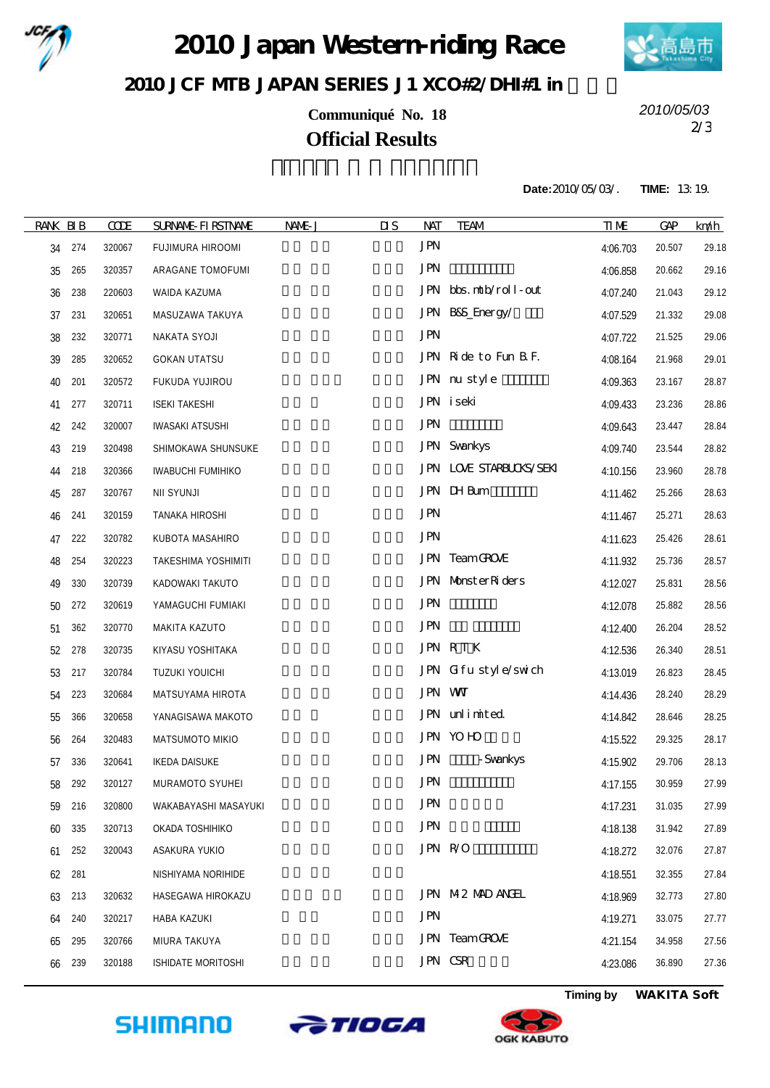

2010 Japan Western riding Race



## 2010 JCF MIB JAPAN SERIES J1 XCO#2/DH#1 in

**Communiqué No. 18** 2/3 **Official Results**

*2010/05/03*

**Date:**2010/05/03/. **TIME:** 13:19.

| <b>RANK BIB</b> |     | <b>CODE</b> | <b>SURNAME FIRSTNAME</b> | NAME J | $\overline{\mathbf{u}}$<br><b>NAT</b> | <b>TEAM</b>             | <b>TIME</b> | <b>GAP</b> | km/h  |
|-----------------|-----|-------------|--------------------------|--------|---------------------------------------|-------------------------|-------------|------------|-------|
| 34              | 274 | 320067      | FUJIMURA HIROOMI         |        | <b>JPN</b>                            |                         | 4:06.703    | 20.507     | 29.18 |
| 35              | 265 | 320357      | ARAGANE TOMOFUMI         |        | <b>JPN</b>                            |                         | 4:06.858    | 20.662     | 29.16 |
| 36              | 238 | 220603      | WAIDA KAZUMA             |        |                                       | JPN bbs.ntb/roll-out    | 4:07.240    | 21.043     | 29.12 |
| 37              | 231 | 320651      | MASUZAWA TAKUYA          |        |                                       | JPN B8S_Energy/         | 4:07.529    | 21.332     | 29.08 |
| 38              | 232 | 320771      | NAKATA SYOJI             |        | <b>JPN</b>                            |                         | 4:07.722    | 21.525     | 29.06 |
| 39              | 285 | 320652      | <b>GOKAN UTATSU</b>      |        |                                       | JPN Ride to Fun B F.    | 4:08.164    | 21.968     | 29.01 |
| 40              | 201 | 320572      | FUKUDA YUJIROU           |        |                                       | JPN nu style            | 4:09.363    | 23.167     | 28.87 |
| 41              | 277 | 320711      | <b>ISEKI TAKESHI</b>     |        |                                       | JPN iseki               | 4:09.433    | 23.236     | 28.86 |
| 42              | 242 | 320007      | <b>IWASAKI ATSUSHI</b>   |        | <b>JPN</b>                            |                         | 4:09.643    | 23.447     | 28.84 |
| 43              | 219 | 320498      | SHIMOKAWA SHUNSUKE       |        |                                       | <b>JPN</b> Svankys      | 4:09.740    | 23.544     | 28.82 |
| 44              | 218 | 320366      | <b>IWABUCHI FUMIHIKO</b> |        |                                       | JPN LOVE STARBUCKS/SEKI | 4:10.156    | 23.960     | 28.78 |
| 45              | 287 | 320767      | <b>NII SYUNJI</b>        |        |                                       | JPN DHBum               | 4:11.462    | 25.266     | 28.63 |
| 46              | 241 | 320159      | TANAKA HIROSHI           |        | <b>JPN</b>                            |                         | 4:11.467    | 25.271     | 28.63 |
| 47              | 222 | 320782      | KUBOTA MASAHIRO          |        | <b>JPN</b>                            |                         | 4:11.623    | 25.426     | 28.61 |
| 48              | 254 | 320223      | TAKESHIMA YOSHIMITI      |        |                                       | JPN TeamGROVE           | 4:11.932    | 25.736     | 28.57 |
| 49              | 330 | 320739      | KADOWAKI TAKUTO          |        |                                       | JPN MonsterRiders       | 4:12.027    | 25.831     | 28.56 |
| 50              | 272 | 320619      | YAMAGUCHI FUMIAKI        |        | <b>JPN</b>                            |                         | 4:12.078    | 25.882     | 28.56 |
| 51              | 362 | 320770      | MAKITA KAZUTO            |        | <b>JPN</b>                            |                         | 4:12.400    | 26.204     | 28.52 |
| 52              | 278 | 320735      | KIYASU YOSHITAKA         |        |                                       | JPN RTK                 | 4:12.536    | 26.340     | 28.51 |
| 53              | 217 | 320784      | TUZUKI YOUICHI           |        |                                       | JPN Gifustyle/swich     | 4:13.019    | 26.823     | 28.45 |
| 54              | 223 | 320684      | MATSUYAMA HIROTA         |        |                                       | JPN WW                  | 4:14.436    | 28.240     | 28.29 |
| 55              | 366 | 320658      | YANAGISAWA MAKOTO        |        |                                       | JPN unlimited           | 4:14.842    | 28.646     | 28.25 |
| 56              | 264 | 320483      | MATSUMOTO MIKIO          |        |                                       | JPN YOHO                | 4:15.522    | 29.325     | 28.17 |
| 57              | 336 | 320641      | <b>IKEDA DAISUKE</b>     |        | <b>JPN</b>                            | - Svankys               | 4:15.902    | 29.706     | 28.13 |
| 58              | 292 | 320127      | MURAMOTO SYUHEI          |        | <b>JPN</b>                            |                         | 4:17.155    | 30.959     | 27.99 |
| 59              | 216 | 320800      | WAKABAYASHI MASAYUKI     |        | <b>JPN</b>                            |                         | 4:17.231    | 31.035     | 27.99 |
| 60              | 335 | 320713      | OKADA TOSHIHIKO          |        | <b>JPN</b>                            |                         | 4:18.138    | 31.942     | 27.89 |
| 61              | 252 | 320043      | ASAKURA YUKIO            |        |                                       | JPN R/O                 | 4:18.272    | 32.076     | 27.87 |
| 62              | 281 |             | NISHIYAMA NORIHIDE       |        |                                       |                         | 4:18.551    | 32.355     | 27.84 |
| 63              | 213 | 320632      | HASEGAWA HIROKAZU        |        |                                       | JPN M2 MAD ANGEL        | 4:18.969    | 32.773     | 27.80 |
| 64              | 240 | 320217      | HABA KAZUKI              |        | <b>JPN</b>                            |                         | 4:19.271    | 33.075     | 27.77 |
| 65              | 295 | 320766      | MIURA TAKUYA             |        |                                       | JPN TeamGROVE           | 4:21.154    | 34.958     | 27.56 |
| 66              | 239 | 320188      | ISHIDATE MORITOSHI       |        |                                       | JPN CSR                 | 4:23.086    | 36.890     | 27.36 |